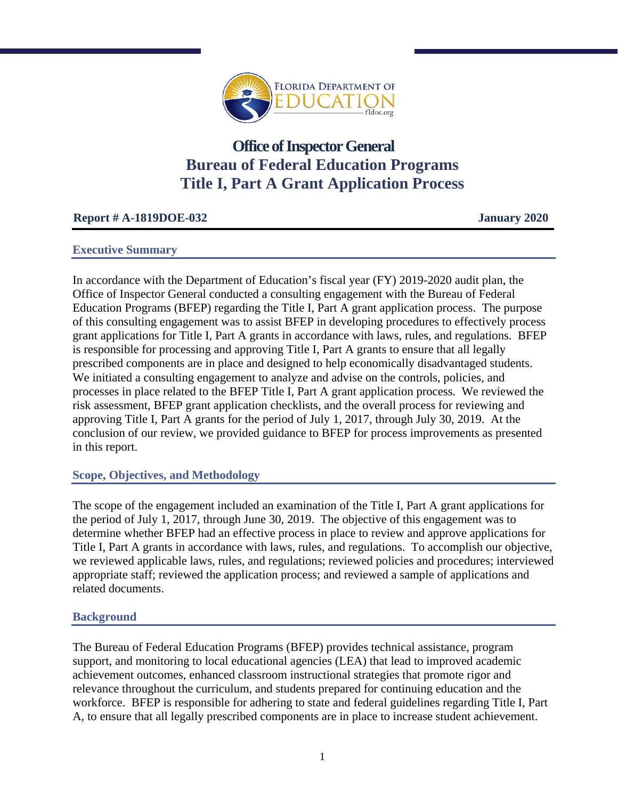

# **Office of Inspector General Bureau of Federal Education Programs Title I, Part A Grant Application Process**

# **Report # A-1819DOE-032 January 2020**

#### **Executive Summary**

In accordance with the Department of Education's fiscal year (FY) 2019-2020 audit plan, the Office of Inspector General conducted a consulting engagement with the Bureau of Federal Education Programs (BFEP) regarding the Title I, Part A grant application process. The purpose of this consulting engagement was to assist BFEP in developing procedures to effectively process grant applications for Title I, Part A grants in accordance with laws, rules, and regulations. BFEP is responsible for processing and approving Title I, Part A grants to ensure that all legally prescribed components are in place and designed to help economically disadvantaged students. We initiated a consulting engagement to analyze and advise on the controls, policies, and processes in place related to the BFEP Title I, Part A grant application process. We reviewed the risk assessment, BFEP grant application checklists, and the overall process for reviewing and approving Title I, Part A grants for the period of July 1, 2017, through July 30, 2019. At the conclusion of our review, we provided guidance to BFEP for process improvements as presented in this report.

# **Scope, Objectives, and Methodology**

The scope of the engagement included an examination of the Title I, Part A grant applications for the period of July 1, 2017, through June 30, 2019. The objective of this engagement was to determine whether BFEP had an effective process in place to review and approve applications for Title I, Part A grants in accordance with laws, rules, and regulations. To accomplish our objective, we reviewed applicable laws, rules, and regulations; reviewed policies and procedures; interviewed appropriate staff; reviewed the application process; and reviewed a sample of applications and related documents.

# **Background**

The Bureau of Federal Education Programs (BFEP) provides technical assistance, program support, and monitoring to local educational agencies (LEA) that lead to improved academic achievement outcomes, enhanced classroom instructional strategies that promote rigor and relevance throughout the curriculum, and students prepared for continuing education and the workforce. BFEP is responsible for adhering to state and federal guidelines regarding Title I, Part A, to ensure that all legally prescribed components are in place to increase student achievement.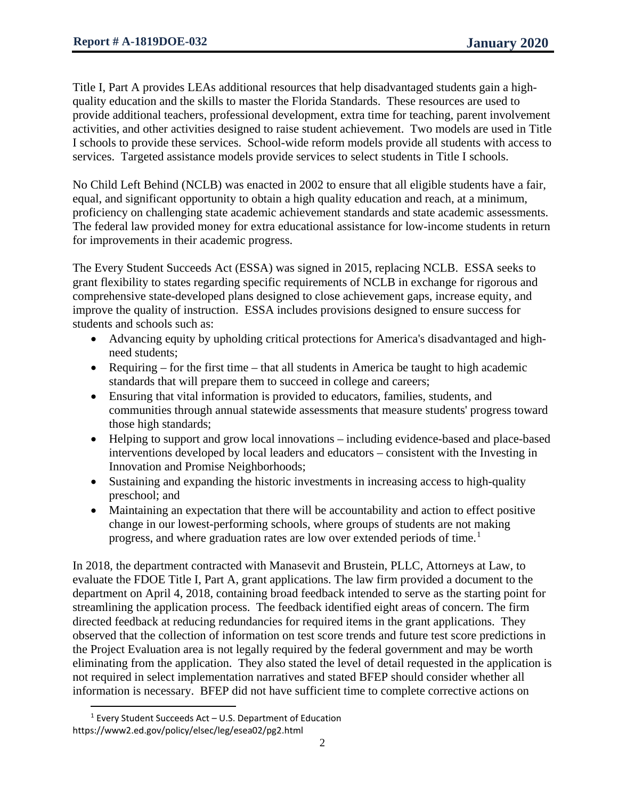Title I, Part A provides LEAs additional resources that help disadvantaged students gain a highquality education and the skills to master the Florida Standards. These resources are used to provide additional teachers, professional development, extra time for teaching, parent involvement activities, and other activities designed to raise student achievement. Two models are used in Title I schools to provide these services. School-wide reform models provide all students with access to services. Targeted assistance models provide services to select students in Title I schools.

No Child Left Behind (NCLB) was enacted in 2002 to ensure that all eligible students have a fair, equal, and significant opportunity to obtain a high quality education and reach, at a minimum, proficiency on challenging state academic achievement standards and state academic assessments. The federal law provided money for extra educational assistance for low-income students in return for improvements in their academic progress.

The Every Student Succeeds Act (ESSA) was signed in 2015, replacing NCLB. ESSA seeks to grant flexibility to states regarding specific requirements of NCLB in exchange for rigorous and comprehensive state-developed plans designed to close achievement gaps, increase equity, and improve the quality of instruction. ESSA includes provisions designed to ensure success for students and schools such as:

- Advancing equity by upholding critical protections for America's disadvantaged and highneed students;
- Requiring for the first time that all students in America be taught to high academic standards that will prepare them to succeed in college and careers;
- Ensuring that vital information is provided to educators, families, students, and communities through annual statewide assessments that measure students' progress toward those high standards;
- Helping to support and grow local innovations including evidence-based and place-based interventions developed by local leaders and educators – consistent with the Investing in Innovation and Promise Neighborhoods;
- Sustaining and expanding the historic investments in increasing access to high-quality preschool; and
- Maintaining an expectation that there will be accountability and action to effect positive change in our lowest-performing schools, where groups of students are not making progress, and where graduation rates are low over extended periods of time.<sup>[1](#page-1-0)</sup>

In 2018, the department contracted with Manasevit and Brustein, PLLC, Attorneys at Law, to evaluate the FDOE Title I, Part A, grant applications. The law firm provided a document to the department on April 4, 2018, containing broad feedback intended to serve as the starting point for streamlining the application process. The feedback identified eight areas of concern. The firm directed feedback at reducing redundancies for required items in the grant applications. They observed that the collection of information on test score trends and future test score predictions in the Project Evaluation area is not legally required by the federal government and may be worth eliminating from the application. They also stated the level of detail requested in the application is not required in select implementation narratives and stated BFEP should consider whether all information is necessary. BFEP did not have sufficient time to complete corrective actions on

<span id="page-1-0"></span>l  $1$  Every Student Succeeds Act – U.S. Department of Education https://www2.ed.gov/policy/elsec/leg/esea02/pg2.html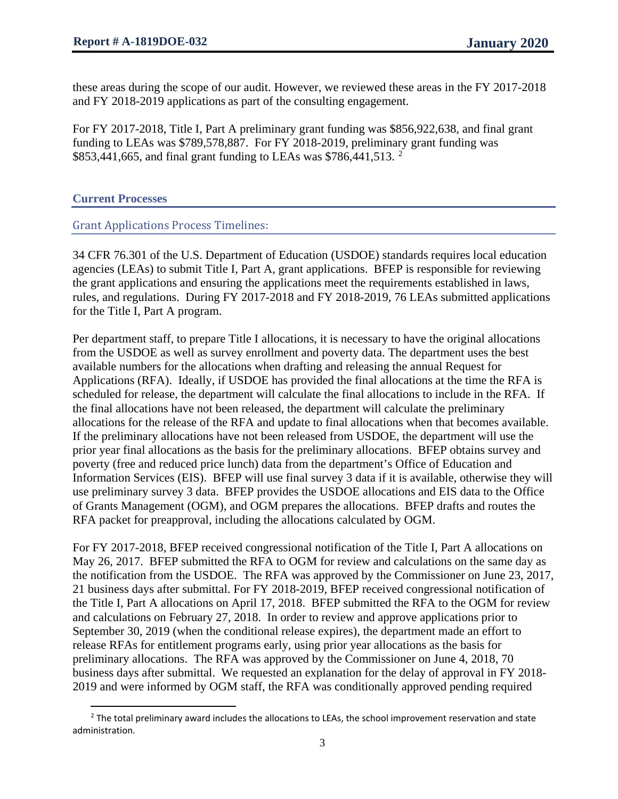these areas during the scope of our audit. However, we reviewed these areas in the FY 2017-2018 and FY 2018-2019 applications as part of the consulting engagement.

For FY 2017-2018, Title I, Part A preliminary grant funding was \$856,922,638, and final grant funding to LEAs was \$789,578,887. For FY 2018-2019, preliminary grant funding was \$853,441,665, and final grant funding to LEAs was \$786,441,513. <sup>[2](#page-2-0)</sup>

**Current Processes**

l

Grant Applications Process Timelines:

34 CFR 76.301 of the U.S. Department of Education (USDOE) standards requires local education agencies (LEAs) to submit Title I, Part A, grant applications. BFEP is responsible for reviewing the grant applications and ensuring the applications meet the requirements established in laws, rules, and regulations. During FY 2017-2018 and FY 2018-2019, 76 LEAs submitted applications for the Title I, Part A program.

Per department staff, to prepare Title I allocations, it is necessary to have the original allocations from the USDOE as well as survey enrollment and poverty data. The department uses the best available numbers for the allocations when drafting and releasing the annual Request for Applications (RFA). Ideally, if USDOE has provided the final allocations at the time the RFA is scheduled for release, the department will calculate the final allocations to include in the RFA. If the final allocations have not been released, the department will calculate the preliminary allocations for the release of the RFA and update to final allocations when that becomes available. If the preliminary allocations have not been released from USDOE, the department will use the prior year final allocations as the basis for the preliminary allocations. BFEP obtains survey and poverty (free and reduced price lunch) data from the department's Office of Education and Information Services (EIS). BFEP will use final survey 3 data if it is available, otherwise they will use preliminary survey 3 data. BFEP provides the USDOE allocations and EIS data to the Office of Grants Management (OGM), and OGM prepares the allocations. BFEP drafts and routes the RFA packet for preapproval, including the allocations calculated by OGM.

For FY 2017-2018, BFEP received congressional notification of the Title I, Part A allocations on May 26, 2017. BFEP submitted the RFA to OGM for review and calculations on the same day as the notification from the USDOE. The RFA was approved by the Commissioner on June 23, 2017, 21 business days after submittal. For FY 2018-2019, BFEP received congressional notification of the Title I, Part A allocations on April 17, 2018. BFEP submitted the RFA to the OGM for review and calculations on February 27, 2018. In order to review and approve applications prior to September 30, 2019 (when the conditional release expires), the department made an effort to release RFAs for entitlement programs early, using prior year allocations as the basis for preliminary allocations. The RFA was approved by the Commissioner on June 4, 2018, 70 business days after submittal. We requested an explanation for the delay of approval in FY 2018- 2019 and were informed by OGM staff, the RFA was conditionally approved pending required

<span id="page-2-0"></span> $<sup>2</sup>$  The total preliminary award includes the allocations to LEAs, the school improvement reservation and state</sup> administration.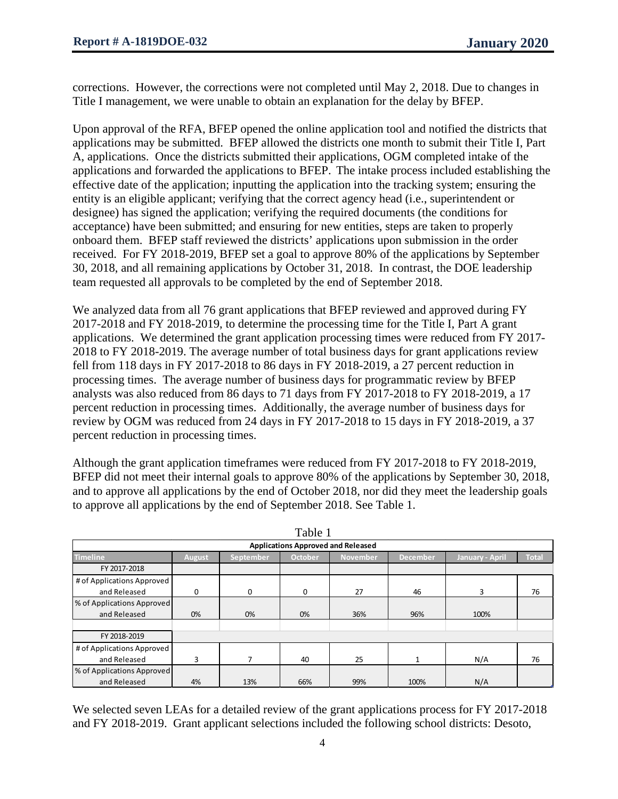corrections. However, the corrections were not completed until May 2, 2018. Due to changes in Title I management, we were unable to obtain an explanation for the delay by BFEP.

Upon approval of the RFA, BFEP opened the online application tool and notified the districts that applications may be submitted. BFEP allowed the districts one month to submit their Title I, Part A, applications. Once the districts submitted their applications, OGM completed intake of the applications and forwarded the applications to BFEP. The intake process included establishing the effective date of the application; inputting the application into the tracking system; ensuring the entity is an eligible applicant; verifying that the correct agency head (i.e., superintendent or designee) has signed the application; verifying the required documents (the conditions for acceptance) have been submitted; and ensuring for new entities, steps are taken to properly onboard them. BFEP staff reviewed the districts' applications upon submission in the order received. For FY 2018-2019, BFEP set a goal to approve 80% of the applications by September 30, 2018, and all remaining applications by October 31, 2018. In contrast, the DOE leadership team requested all approvals to be completed by the end of September 2018.

We analyzed data from all 76 grant applications that BFEP reviewed and approved during FY 2017-2018 and FY 2018-2019, to determine the processing time for the Title I, Part A grant applications. We determined the grant application processing times were reduced from FY 2017- 2018 to FY 2018-2019. The average number of total business days for grant applications review fell from 118 days in FY 2017-2018 to 86 days in FY 2018-2019, a 27 percent reduction in processing times. The average number of business days for programmatic review by BFEP analysts was also reduced from 86 days to 71 days from FY 2017-2018 to FY 2018-2019, a 17 percent reduction in processing times. Additionally, the average number of business days for review by OGM was reduced from 24 days in FY 2017-2018 to 15 days in FY 2018-2019, a 37 percent reduction in processing times.

Although the grant application timeframes were reduced from FY 2017-2018 to FY 2018-2019, BFEP did not meet their internal goals to approve 80% of the applications by September 30, 2018, and to approve all applications by the end of October 2018, nor did they meet the leadership goals to approve all applications by the end of September 2018. See Table 1.

| 1 avie 1                                  |        |           |                |                 |                 |                 |              |  |
|-------------------------------------------|--------|-----------|----------------|-----------------|-----------------|-----------------|--------------|--|
| <b>Applications Approved and Released</b> |        |           |                |                 |                 |                 |              |  |
| <b>Timeline</b>                           | August | September | <b>October</b> | <b>November</b> | <b>December</b> | January - April | <b>Total</b> |  |
| FY 2017-2018                              |        |           |                |                 |                 |                 |              |  |
| # of Applications Approved                |        |           |                |                 |                 |                 |              |  |
| and Released                              | 0      | $\Omega$  | 0              | 27              | 46              | 3               | 76           |  |
| % of Applications Approved                |        |           |                |                 |                 |                 |              |  |
| and Released                              | 0%     | 0%        | 0%             | 36%             | 96%             | 100%            |              |  |
|                                           |        |           |                |                 |                 |                 |              |  |
| FY 2018-2019                              |        |           |                |                 |                 |                 |              |  |
| # of Applications Approved                |        |           |                |                 |                 |                 |              |  |
| and Released                              | 3      |           | 40             | 25              |                 | N/A             | 76           |  |
| % of Applications Approved                |        |           |                |                 |                 |                 |              |  |
| and Released                              | 4%     | 13%       | 66%            | 99%             | 100%            | N/A             |              |  |

Table 1

We selected seven LEAs for a detailed review of the grant applications process for FY 2017-2018 and FY 2018-2019. Grant applicant selections included the following school districts: Desoto,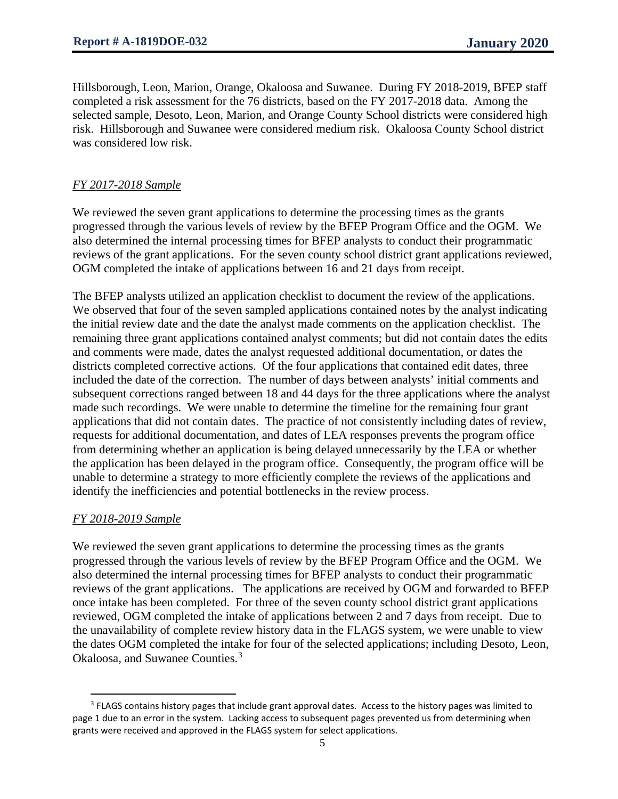Hillsborough, Leon, Marion, Orange, Okaloosa and Suwanee. During FY 2018-2019, BFEP staff completed a risk assessment for the 76 districts, based on the FY 2017-2018 data. Among the selected sample, Desoto, Leon, Marion, and Orange County School districts were considered high risk. Hillsborough and Suwanee were considered medium risk. Okaloosa County School district was considered low risk.

#### *FY 2017-2018 Sample*

We reviewed the seven grant applications to determine the processing times as the grants progressed through the various levels of review by the BFEP Program Office and the OGM. We also determined the internal processing times for BFEP analysts to conduct their programmatic reviews of the grant applications. For the seven county school district grant applications reviewed, OGM completed the intake of applications between 16 and 21 days from receipt.

The BFEP analysts utilized an application checklist to document the review of the applications. We observed that four of the seven sampled applications contained notes by the analyst indicating the initial review date and the date the analyst made comments on the application checklist. The remaining three grant applications contained analyst comments; but did not contain dates the edits and comments were made, dates the analyst requested additional documentation, or dates the districts completed corrective actions. Of the four applications that contained edit dates, three included the date of the correction. The number of days between analysts' initial comments and subsequent corrections ranged between 18 and 44 days for the three applications where the analyst made such recordings. We were unable to determine the timeline for the remaining four grant applications that did not contain dates. The practice of not consistently including dates of review, requests for additional documentation, and dates of LEA responses prevents the program office from determining whether an application is being delayed unnecessarily by the LEA or whether the application has been delayed in the program office. Consequently, the program office will be unable to determine a strategy to more efficiently complete the reviews of the applications and identify the inefficiencies and potential bottlenecks in the review process.

#### *FY 2018-2019 Sample*

 $\overline{\phantom{a}}$ 

We reviewed the seven grant applications to determine the processing times as the grants progressed through the various levels of review by the BFEP Program Office and the OGM. We also determined the internal processing times for BFEP analysts to conduct their programmatic reviews of the grant applications. The applications are received by OGM and forwarded to BFEP once intake has been completed. For three of the seven county school district grant applications reviewed, OGM completed the intake of applications between 2 and 7 days from receipt. Due to the unavailability of complete review history data in the FLAGS system, we were unable to view the dates OGM completed the intake for four of the selected applications; including Desoto, Leon, Okaloosa, and Suwanee Counties.<sup>[3](#page-4-0)</sup>

<span id="page-4-0"></span><sup>&</sup>lt;sup>3</sup> FLAGS contains history pages that include grant approval dates. Access to the history pages was limited to page 1 due to an error in the system. Lacking access to subsequent pages prevented us from determining when grants were received and approved in the FLAGS system for select applications.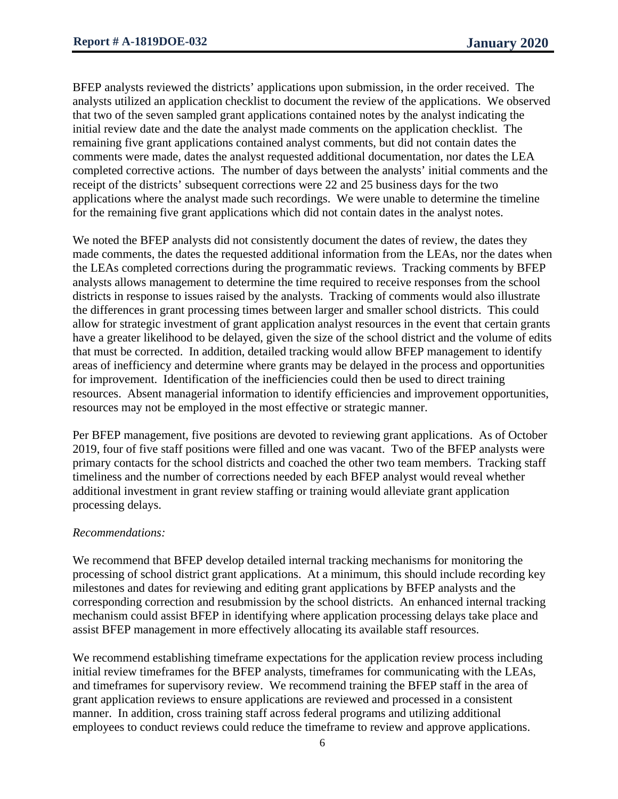BFEP analysts reviewed the districts' applications upon submission, in the order received. The analysts utilized an application checklist to document the review of the applications. We observed that two of the seven sampled grant applications contained notes by the analyst indicating the initial review date and the date the analyst made comments on the application checklist. The remaining five grant applications contained analyst comments, but did not contain dates the comments were made, dates the analyst requested additional documentation, nor dates the LEA completed corrective actions. The number of days between the analysts' initial comments and the receipt of the districts' subsequent corrections were 22 and 25 business days for the two applications where the analyst made such recordings. We were unable to determine the timeline for the remaining five grant applications which did not contain dates in the analyst notes.

We noted the BFEP analysts did not consistently document the dates of review, the dates they made comments, the dates the requested additional information from the LEAs, nor the dates when the LEAs completed corrections during the programmatic reviews. Tracking comments by BFEP analysts allows management to determine the time required to receive responses from the school districts in response to issues raised by the analysts. Tracking of comments would also illustrate the differences in grant processing times between larger and smaller school districts. This could allow for strategic investment of grant application analyst resources in the event that certain grants have a greater likelihood to be delayed, given the size of the school district and the volume of edits that must be corrected. In addition, detailed tracking would allow BFEP management to identify areas of inefficiency and determine where grants may be delayed in the process and opportunities for improvement. Identification of the inefficiencies could then be used to direct training resources. Absent managerial information to identify efficiencies and improvement opportunities, resources may not be employed in the most effective or strategic manner.

Per BFEP management, five positions are devoted to reviewing grant applications. As of October 2019, four of five staff positions were filled and one was vacant. Two of the BFEP analysts were primary contacts for the school districts and coached the other two team members. Tracking staff timeliness and the number of corrections needed by each BFEP analyst would reveal whether additional investment in grant review staffing or training would alleviate grant application processing delays.

#### *Recommendations:*

We recommend that BFEP develop detailed internal tracking mechanisms for monitoring the processing of school district grant applications. At a minimum, this should include recording key milestones and dates for reviewing and editing grant applications by BFEP analysts and the corresponding correction and resubmission by the school districts. An enhanced internal tracking mechanism could assist BFEP in identifying where application processing delays take place and assist BFEP management in more effectively allocating its available staff resources.

We recommend establishing timeframe expectations for the application review process including initial review timeframes for the BFEP analysts, timeframes for communicating with the LEAs, and timeframes for supervisory review. We recommend training the BFEP staff in the area of grant application reviews to ensure applications are reviewed and processed in a consistent manner. In addition, cross training staff across federal programs and utilizing additional employees to conduct reviews could reduce the timeframe to review and approve applications.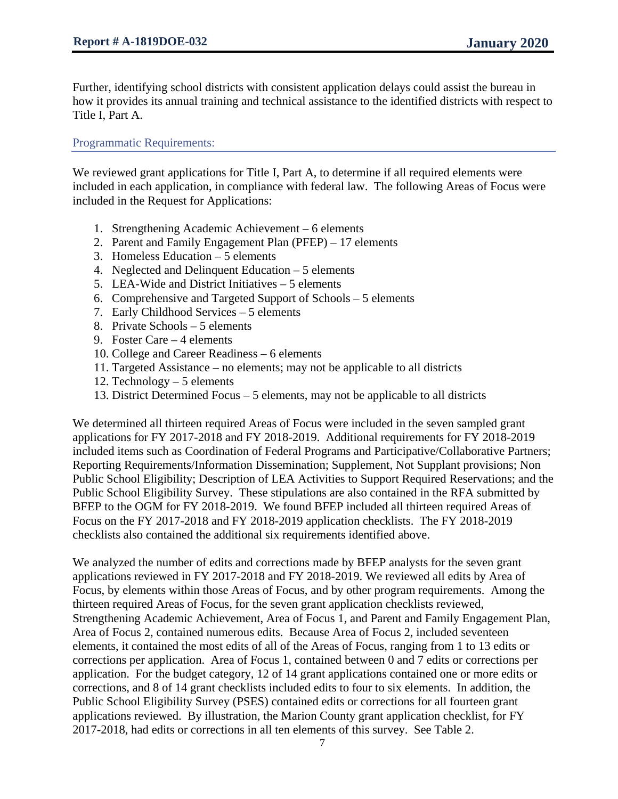Further, identifying school districts with consistent application delays could assist the bureau in how it provides its annual training and technical assistance to the identified districts with respect to Title I, Part A.

Programmatic Requirements:

We reviewed grant applications for Title I, Part A, to determine if all required elements were included in each application, in compliance with federal law. The following Areas of Focus were included in the Request for Applications:

- 1. Strengthening Academic Achievement 6 elements
- 2. Parent and Family Engagement Plan (PFEP) 17 elements
- 3. Homeless Education 5 elements
- 4. Neglected and Delinquent Education 5 elements
- 5. LEA-Wide and District Initiatives 5 elements
- 6. Comprehensive and Targeted Support of Schools 5 elements
- 7. Early Childhood Services 5 elements
- 8. Private Schools 5 elements
- 9. Foster Care 4 elements
- 10. College and Career Readiness 6 elements
- 11. Targeted Assistance no elements; may not be applicable to all districts
- 12. Technology 5 elements
- 13. District Determined Focus 5 elements, may not be applicable to all districts

We determined all thirteen required Areas of Focus were included in the seven sampled grant applications for FY 2017-2018 and FY 2018-2019. Additional requirements for FY 2018-2019 included items such as Coordination of Federal Programs and Participative/Collaborative Partners; Reporting Requirements/Information Dissemination; Supplement, Not Supplant provisions; Non Public School Eligibility; Description of LEA Activities to Support Required Reservations; and the Public School Eligibility Survey. These stipulations are also contained in the RFA submitted by BFEP to the OGM for FY 2018-2019. We found BFEP included all thirteen required Areas of Focus on the FY 2017-2018 and FY 2018-2019 application checklists. The FY 2018-2019 checklists also contained the additional six requirements identified above.

We analyzed the number of edits and corrections made by BFEP analysts for the seven grant applications reviewed in FY 2017-2018 and FY 2018-2019. We reviewed all edits by Area of Focus, by elements within those Areas of Focus, and by other program requirements. Among the thirteen required Areas of Focus, for the seven grant application checklists reviewed, Strengthening Academic Achievement, Area of Focus 1, and Parent and Family Engagement Plan, Area of Focus 2, contained numerous edits. Because Area of Focus 2, included seventeen elements, it contained the most edits of all of the Areas of Focus, ranging from 1 to 13 edits or corrections per application. Area of Focus 1, contained between 0 and 7 edits or corrections per application. For the budget category, 12 of 14 grant applications contained one or more edits or corrections, and 8 of 14 grant checklists included edits to four to six elements. In addition, the Public School Eligibility Survey (PSES) contained edits or corrections for all fourteen grant applications reviewed. By illustration, the Marion County grant application checklist, for FY 2017-2018, had edits or corrections in all ten elements of this survey. See Table 2.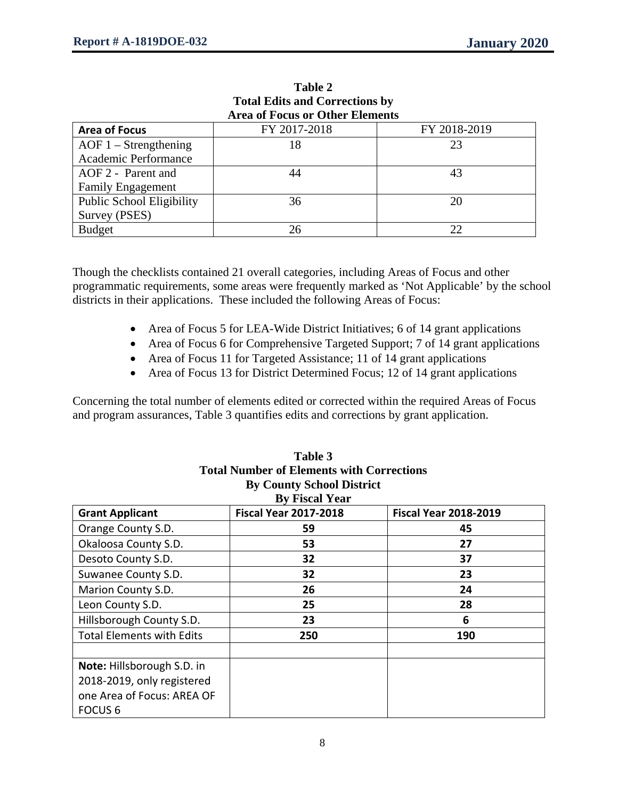|                                        | TURI EURS and Corrections by |              |  |  |  |  |  |
|----------------------------------------|------------------------------|--------------|--|--|--|--|--|
| <b>Area of Focus or Other Elements</b> |                              |              |  |  |  |  |  |
| <b>Area of Focus</b>                   | FY 2017-2018                 | FY 2018-2019 |  |  |  |  |  |
| $AOF 1 - Strengthening$                | 18                           | 23           |  |  |  |  |  |
| Academic Performance                   |                              |              |  |  |  |  |  |
| AOF 2 - Parent and                     | 44                           | 43           |  |  |  |  |  |
| <b>Family Engagement</b>               |                              |              |  |  |  |  |  |
| <b>Public School Eligibility</b>       | 36                           | 20           |  |  |  |  |  |
| Survey (PSES)                          |                              |              |  |  |  |  |  |
| <b>Budget</b>                          | 26                           | 22           |  |  |  |  |  |

**Table 2 Total Edits and Corrections by**

Though the checklists contained 21 overall categories, including Areas of Focus and other programmatic requirements, some areas were frequently marked as 'Not Applicable' by the school districts in their applications. These included the following Areas of Focus:

- Area of Focus 5 for LEA-Wide District Initiatives; 6 of 14 grant applications
- Area of Focus 6 for Comprehensive Targeted Support; 7 of 14 grant applications
- Area of Focus 11 for Targeted Assistance; 11 of 14 grant applications
- Area of Focus 13 for District Determined Focus; 12 of 14 grant applications

Concerning the total number of elements edited or corrected within the required Areas of Focus and program assurances, Table 3 quantifies edits and corrections by grant application.

|                                  | Total Number of Elements with Corrections |                              |  |  |  |  |  |  |
|----------------------------------|-------------------------------------------|------------------------------|--|--|--|--|--|--|
| <b>By County School District</b> |                                           |                              |  |  |  |  |  |  |
| <b>By Fiscal Year</b>            |                                           |                              |  |  |  |  |  |  |
| <b>Grant Applicant</b>           | <b>Fiscal Year 2017-2018</b>              | <b>Fiscal Year 2018-2019</b> |  |  |  |  |  |  |
| Orange County S.D.               | 59                                        | 45                           |  |  |  |  |  |  |
| Okaloosa County S.D.             | 53                                        | 27                           |  |  |  |  |  |  |
| Desoto County S.D.               | 32                                        | 37                           |  |  |  |  |  |  |
| Suwanee County S.D.              | 32                                        | 23                           |  |  |  |  |  |  |
| Marion County S.D.               | 26                                        | 24                           |  |  |  |  |  |  |
| Leon County S.D.                 | 25                                        | 28                           |  |  |  |  |  |  |
| Hillsborough County S.D.         | 23                                        | 6                            |  |  |  |  |  |  |
| <b>Total Elements with Edits</b> | 250                                       | 190                          |  |  |  |  |  |  |
|                                  |                                           |                              |  |  |  |  |  |  |
| Note: Hillsborough S.D. in       |                                           |                              |  |  |  |  |  |  |
| 2018-2019, only registered       |                                           |                              |  |  |  |  |  |  |
| one Area of Focus: AREA OF       |                                           |                              |  |  |  |  |  |  |
| <b>FOCUS 6</b>                   |                                           |                              |  |  |  |  |  |  |

| Table 3                                          |
|--------------------------------------------------|
| <b>Total Number of Elements with Corrections</b> |
| <b>By County School District</b>                 |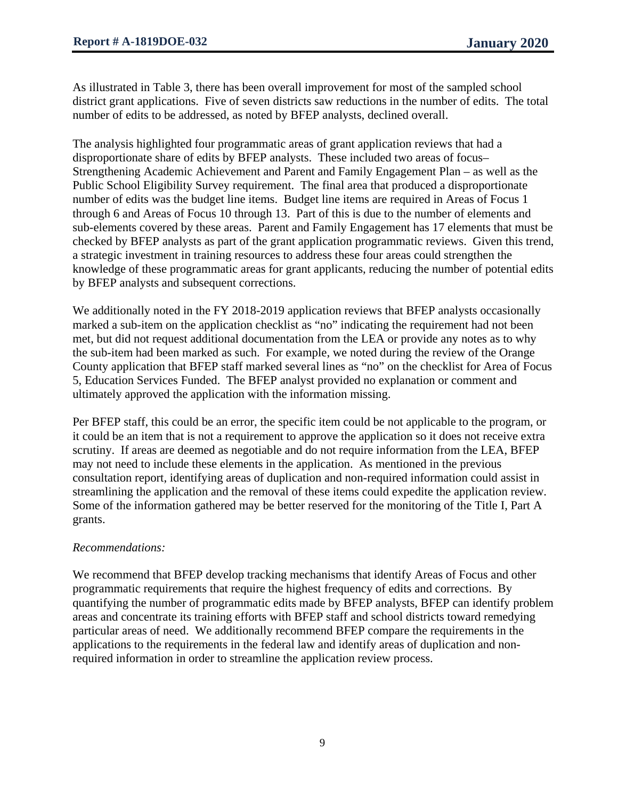As illustrated in Table 3, there has been overall improvement for most of the sampled school district grant applications. Five of seven districts saw reductions in the number of edits. The total number of edits to be addressed, as noted by BFEP analysts, declined overall.

The analysis highlighted four programmatic areas of grant application reviews that had a disproportionate share of edits by BFEP analysts. These included two areas of focus– Strengthening Academic Achievement and Parent and Family Engagement Plan – as well as the Public School Eligibility Survey requirement. The final area that produced a disproportionate number of edits was the budget line items. Budget line items are required in Areas of Focus 1 through 6 and Areas of Focus 10 through 13. Part of this is due to the number of elements and sub-elements covered by these areas. Parent and Family Engagement has 17 elements that must be checked by BFEP analysts as part of the grant application programmatic reviews. Given this trend, a strategic investment in training resources to address these four areas could strengthen the knowledge of these programmatic areas for grant applicants, reducing the number of potential edits by BFEP analysts and subsequent corrections.

We additionally noted in the FY 2018-2019 application reviews that BFEP analysts occasionally marked a sub-item on the application checklist as "no" indicating the requirement had not been met, but did not request additional documentation from the LEA or provide any notes as to why the sub-item had been marked as such. For example, we noted during the review of the Orange County application that BFEP staff marked several lines as "no" on the checklist for Area of Focus 5, Education Services Funded. The BFEP analyst provided no explanation or comment and ultimately approved the application with the information missing.

Per BFEP staff, this could be an error, the specific item could be not applicable to the program, or it could be an item that is not a requirement to approve the application so it does not receive extra scrutiny. If areas are deemed as negotiable and do not require information from the LEA, BFEP may not need to include these elements in the application. As mentioned in the previous consultation report, identifying areas of duplication and non-required information could assist in streamlining the application and the removal of these items could expedite the application review. Some of the information gathered may be better reserved for the monitoring of the Title I, Part A grants.

# *Recommendations:*

We recommend that BFEP develop tracking mechanisms that identify Areas of Focus and other programmatic requirements that require the highest frequency of edits and corrections. By quantifying the number of programmatic edits made by BFEP analysts, BFEP can identify problem areas and concentrate its training efforts with BFEP staff and school districts toward remedying particular areas of need. We additionally recommend BFEP compare the requirements in the applications to the requirements in the federal law and identify areas of duplication and nonrequired information in order to streamline the application review process.